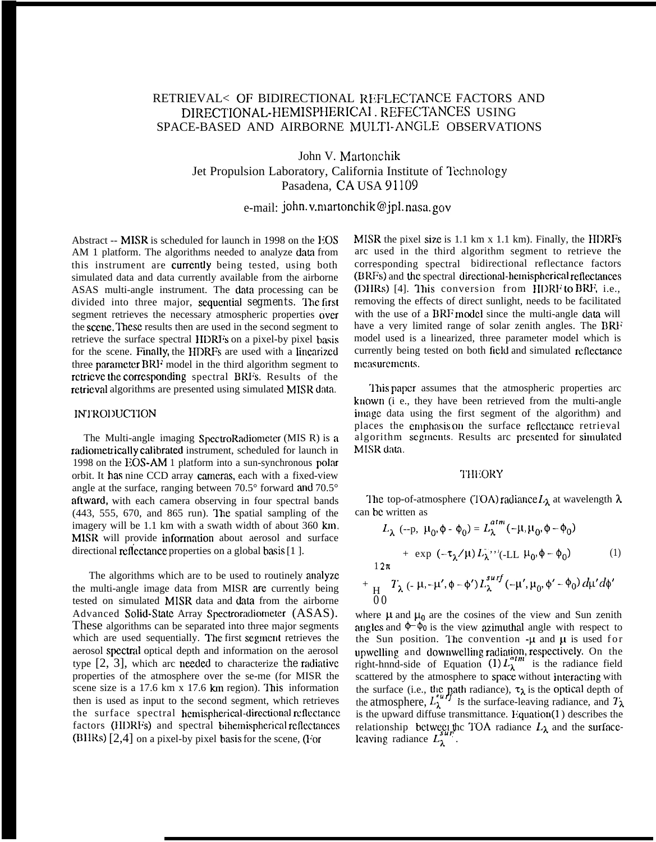# RETRIEVAL< OF BIDIRECTIONAL REFLECTANCE FACTORS AND DIRECTIONAL-HEMISPHERICAI . REFECTANCES USING SPACE-BASED AND AIRBORNE MULTI-ANGLE OBSERVATIONS

John V. Martonchik Jet Propulsion Laboratory, California Institute of Technology Pasadena, CA USA 91109

e-mail: john. v.martonchik@jpl. nasa. gov

+

Abstract  $-$  MISR is scheduled for launch in 1998 on the EOS AM 1 platform. The algorithms needed to analyze data from this instrument are currently being tested, using both simulated data and data currently available from the airborne ASAS multi-angle instrument. The data processing can be divided into three major, sequential segments. The first segment retrieves the necessary atmospheric properties over the scene. These results then are used in the second segment to retrieve the surface spectral HDRFs on a pixel-by pixel basis for the scene. Finally, the HDRFs are used with a linearized three parameter BRF model in the third algorithm segment to rctricvc the corresponding spectral BRFs. Results of the retricwd algorithms are presented using simulated MISR data.

### INTRODUCTION

The Multi-angle imaging SpectroRadiometer (MIS R) is a radiometrically calibrated instrument, scheduled for launch in 1998 on the EOS-AM 1 platform into a sun-synchronous polar orbit. It has nine CCD array cameras, each with a fixed-view angle at the surface, ranging between 70.5° forward and 70.5° aftward, with each camera observing in four spectral bands  $(443, 555, 670, and 865, run)$ . The spatial sampling of the imagery will be 1.1 km with a swath width of about 360 km. MISR will provide information about aerosol and surface directional reflectance properties on a global basis [1].

The algorithms which are to be used to routinely amdyzc the multi-angle image data from MISR are currently being tested on simulated MISR data and data from the airborne Advanced Solid-State Array Spectroradiometer (ASAS). These algorithms can be separated into three major segments which are used sequentially. The first segment retrieves the aerosol spectral optical depth and information on the aerosol type  $[2, 3]$ , which arc needed to characterize *the* radiative properties of the atmosphere over the se-me (for MISR the scene size is a 17.6 km x 17.6 km region). This information then is used as input to the second segment, which retrieves the surface spectral hemispherical-directional reflectance factors (HDRFs) and spectral bihemispherical reflectances  $(BHRs)$  [2,4] on a pixel-by pixel basis for the scene, (For

MISR the pixel size is  $1.1 \text{ km} \times 1.1 \text{ km}$ ). Finally, the HDRFs arc used in the third algorithm segment to retrieve the corresponding spectral bidirectional reflectance factors (BRFs) and the spectral directional-hemispherical reflectances (DHRs) [4]. This conversion from HDRF to BRF, i.e., removing the effects of direct sunlight, needs to be facilitated with the use of a BRF model since the multi-angle data will have a very limited range of solar zenith angles. The BRF model used is a linearized, three parameter model which is currently being tested on both field and simulated rcftectmcc rncasuremcnts.

This paper assumes that the atmospheric properties arc known (i e., they have been retrieved from the multi-angle image data using the first segment of the algorithm) and places the emphasis on the surface reflectance retrieval algorithm segments. Results arc presented for simulated MISR data.

#### **THEORY**

The top-of-atmosphere (TOA) radiance  $L_{\lambda}$  at wavelength  $\lambda$ can bc written as

$$
L_{\lambda} (-p, \mu_0, \phi - \phi_0) = L_{\lambda}^{atm} (-\mu, \mu_0, \phi - \phi_0)
$$
  
+ exp (-\tau\_{\lambda}/\mu) L\_{\lambda}^{-}, (-LL \mu\_0, \phi - \phi\_0) (1)  
12\pi  
H<sub>1</sub>  $T_{\lambda} (-\mu, -\mu', \phi - \phi') L_{\lambda}^{surf} (-\mu', \mu_0, \phi' - \phi_0) d\mu' d\phi'$ 

where  $\mu$  and  $\mu_0$  are the cosines of the view and Sun zenith angles and  $\phi$   $\phi$  is the view azimuthal angle with respect to the Sun position. The convention  $-\mu$  and  $\mu$  is used for upwelling and downwelling radiation, respectively. On the right-hnnd-side of Equation  $(1) L_{\lambda}^{1}$  is the radiance field scattered by the atmosphere to space without interacting with the surface (i.e., the path radiance),  $\tau_{\lambda}$  is the optical depth of the atmosphere,  $L_{\lambda}^{unif}$  is the surface-leaving radiance, and  $T_{\lambda}$ is the upward diffuse transmittance. Equation $(1)$  describes the relationship between the TOA radiance  $L_{\lambda}$  and the surface- $\lim_{\lambda \to 0}$  retworth.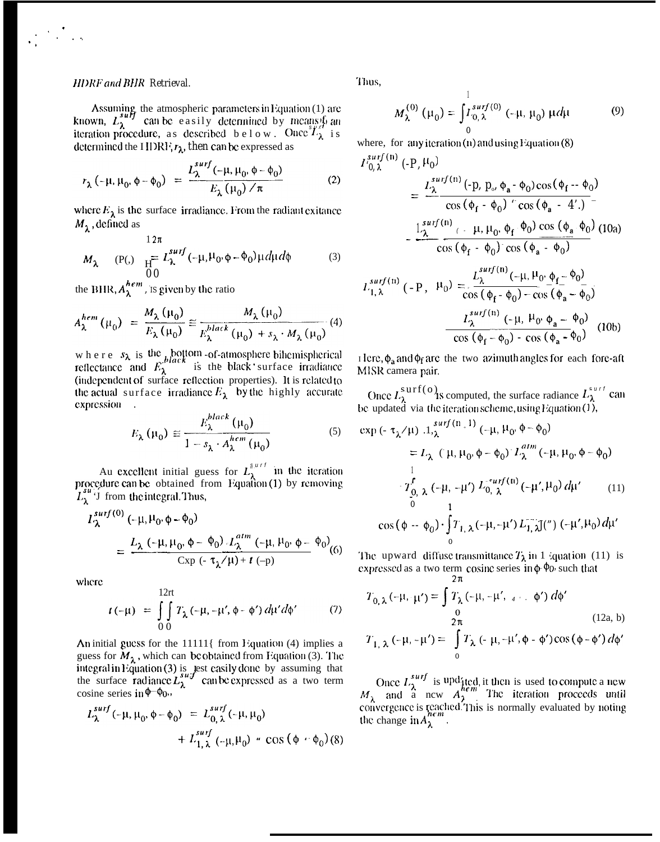## **HDRF** and **BHR** Retrieval.

Assuming the atmospheric parameters in Equation (1) are<br>known,  $L_{\lambda}^{suff}$  can be easily determined by means from<br>iteration procedure, as described b e l o w. Once  $L_{\lambda}^{sff}$  is determined the HDRF,  $r_{\lambda}$ , then can be expressed as

$$
r_{\lambda}(-\mu, \mu_0, \phi - \phi_0) = \frac{L_{\lambda}^{surf}(-\mu, \mu_0, \phi - \phi_0)}{E_{\lambda}(\mu_0)/\pi}
$$
 (2)

where  $E_{\lambda}$  is the surface irradiance. From the radiant exitance  $M_{\lambda}$ , defined as

$$
M_{\lambda} \qquad (P(.) \quad \frac{12\pi}{H} L_{\lambda}^{surf}(-\mu, \mu_0, \phi - \phi_0) \mu d\mu d\phi \qquad (3)
$$

the BHR,  $A_{\lambda}^{hem}$ , is given by the ratio

$$
A_{\lambda}^{hem}(\mu_0) = \frac{M_{\lambda}(\mu_0)}{E_{\lambda}(\mu_0)} \approx \frac{M_{\lambda}(\mu_0)}{E_{\lambda}^{black}(\mu_0) + s_{\lambda} \cdot M_{\lambda}(\mu_0)}
$$
(4)

where  $s_{\lambda}$  is the bottom -of-atmosphere bihemispherical reflectance and  $E_{\lambda}^{black}$  is the black surface irradiance (independent of surface reflection properties). It is related to the actual surface irradiance  $E_{\lambda}$  by the highly accurate expression .

$$
E_{\lambda}(\mu_0) \approx \frac{E_{\lambda}^{black}(\mu_0)}{1 - s_{\lambda} \cdot A_{\lambda}^{hem}(\mu_0)}
$$
(5)

Au excellent initial guess for  $L_{\lambda}^{s,\mu\tau}$  in the iteration<br>procedure can be obtained from Equation (1) by removing  $L_{\lambda}^{su}$ . I from the integral. Thus,

$$
I_{\lambda}^{surf(0)} \left( -\mu, \mu_0, \phi - \phi_0 \right)
$$
  
= 
$$
\frac{L_{\lambda} \left( -\mu, \mu_0, \phi - \phi_0 \right) L_{\lambda}^{atm} \left( -\mu, \mu_0, \phi - \phi_0 \right)}{\exp \left( -\tau_{\lambda} / \mu \right) + t \left( -p \right)}
$$
 (6)

where

$$
t(-\mu) = \int_{0}^{12\pi} T_{\lambda}(-\mu, -\mu', \phi - \phi') d\mu' d\phi'
$$
 (7)

An initial guess for the 11111{ from Equation (4) implies a guess for  $M_{\lambda}$ , which can be obtained from Equation (3). The integral in Equation (3) is lest easily done by assuming that<br>the surface radiance  $L_{\lambda}^{s_{u}}$  can be expressed as a two term<br>cosine series in  $\phi$ – $\phi_0$ .

$$
L_{\lambda}^{surf}(-\mu, \mu_0, \phi - \phi_0) = L_{0, \lambda}^{surf}(-\mu, \mu_0) + L_{1, \lambda}^{surf}(-\mu, \mu_0) \cdot \cos (\phi - \phi_0)
$$
 (8)

Thus.

$$
M_{\lambda}^{(0)}(\mu_0) = \int_{0}^{1} x_{0,\lambda}^{surf(0)}(-\mu, \mu_0) \mu d\mu
$$
 (9)

where, for any iteration  $(n)$  and using Equation  $(8)$ 

$$
I_{0,\lambda}^{surf(n)}(-P, \mu_0) = \frac{L_{\lambda}^{surf(n)}(-p, p_{\sigma}, \phi_a - \phi_0) \cos(\phi_f - \phi_0)}{\cos(\phi_f - \phi_0) + \cos(\phi_a - 4')}
$$
  

$$
= \frac{L_{\lambda}^{surf(n)}(-\mu, \mu_0, \phi_f, \phi_0) \cos(\phi_a - \phi_0)}{\cos(\phi_f - \phi_0) + \cos(\phi_a - \phi_0)}
$$
(10a)  

$$
I_{1,\lambda}^{surf(n)}(-P, \mu_0) = \frac{L_{\lambda}^{surf(n)}(-\mu, \mu_0, \phi_f - \phi_0)}{\cos(\phi_f - \phi_0) - \cos(\phi_a - \phi_0)}
$$
  

$$
= \frac{L_{\lambda}^{surf(n)}(-\mu, \mu_0, \phi_a - \phi_0)}{\cos(\phi_f - \phi_0) - \cos(\phi_a - \phi_0)}
$$
(10b)

I lere,  $\phi_a$  and  $\phi_f$  are the two azimuth angles for each fore-aft MISR camera pair.

Once  $L_{\lambda}^{\text{surf}}(\circ)$  is computed, the surface radiance  $L_{\lambda}^{surt}$  can<br>be updated via the iteration scheme, using Equation (1),

$$
\exp\left(-\tau_{\lambda}/\mu\right) .1, \quad\n\begin{aligned}\n &\text{exp}\left(-\tau_{\lambda}/\mu\right) .1, \quad\n\begin{aligned}\n &\text{exp}\left(-\mu, \mu_{0}, \phi - \phi_{0}\right) \\
&= L_{\lambda} \left(\mu, \mu_{0}, \phi - \phi_{0}\right) L_{\lambda}^{atm} \left(-\mu, \mu_{0}, \phi - \phi_{0}\right) \\
&\frac{1}{2} \int_{0}^{t} \int_{0}^{t} \left(-\mu, \psi\right) L_{0}^{a} \left(\mu, \phi\right) d\mu' \\
&\frac{1}{2} \int_{0}^{t} \left(-\mu, \psi\right) L_{1}^{a} \left(\mu, \phi\right) d\mu' \\
&\text{cos}\left(\phi - \phi_{0}\right) \cdot \int_{0}^{t} T_{1, \lambda} \left(-\mu, -\mu'\right) L_{1, \lambda}^{a} J(\theta) \left(-\mu', \mu_{0}\right) d\mu'\n\end{aligned}\n\end{aligned}
$$

The upward diffuse transmittance  $T_{\lambda}$  in 1 *i*quat ion (11) is expressed as a two term cosine series in  $\phi$   $\phi$  such that

$$
T_{0,\lambda}(-\mu, \cdot \mu') = \int_{0}^{2\pi} T_{\lambda}(-\mu, -\mu', \quad \text{if } \mu' \text{ is } 0) d\phi'
$$
  
\n
$$
T_{1,\lambda}(-\mu, -\mu') = \int_{0}^{2\pi} T_{\lambda}(-\mu, -\mu', \phi - \phi') \cos(\phi - \phi') d\phi'
$$
  
\n(12a, b)

Once  $L_{\lambda}^{surf}$  is upd'ited, it then is used to compute a new  $M_{\lambda}$  and a new  $A_{\lambda}^{hem}$ . The iteration proceeds until convergence is reached. This is normally evaluated by noting the change in  $A_{\lambda}^{hem}$ .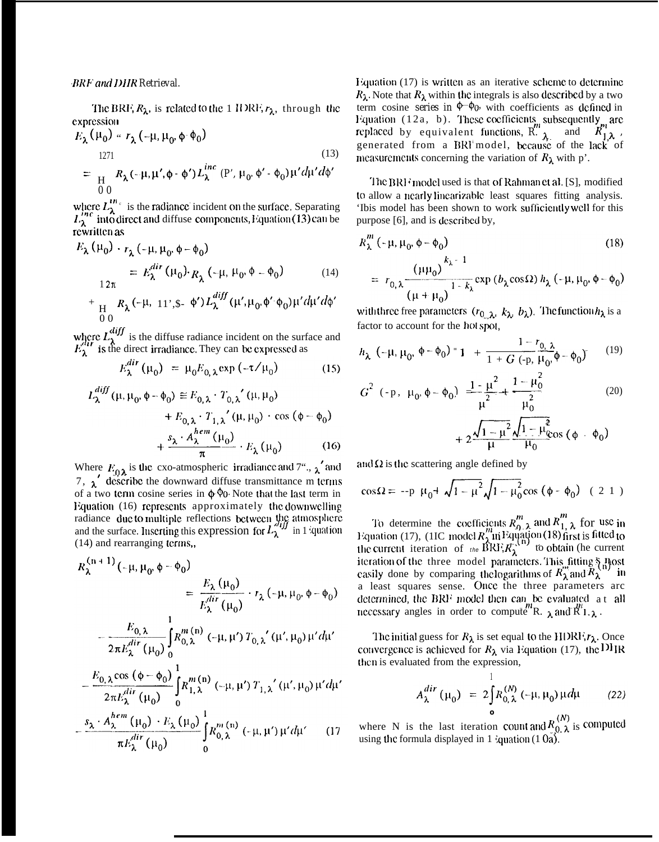The BRF,  $R_{\lambda}$ , is related to the 1 IDRF,  $r_{\lambda}$ , through the expression  $\sim$   $\sim$ 

$$
E_{\lambda}(\mu_0) \sim r_{\lambda}(-\mu, \mu_0, \phi \cdot \phi_0)
$$
  
\n
$$
= \frac{1271}{H} R_{\lambda}(-\mu, \mu', \phi - \phi') L_{\lambda}^{inc} (P', \mu_0, \phi' - \phi_0) \mu' d\mu' d\phi'
$$
\n(13)

where  $L_{\lambda}^{m_c}$  is the radiance incident on the surface. Separating  $L_{\lambda}^{m_c}$  into direct and diffuse components, Equation (13) can be rewritten as

$$
E_{\lambda}(\mu_{0}) \cdot r_{\lambda}(-\mu, \mu_{0}, \phi - \phi_{0})
$$
  
=  $E_{\lambda}^{dir}(\mu_{0}) \cdot R_{\lambda}(-\mu, \mu_{0}, \phi - \phi_{0})$  (14)  
+  $\frac{1}{H} R_{\lambda}(-\mu, 11^{\prime}, \phi - \phi_{0}) L_{\lambda}^{diff}(\mu^{\prime}, \mu_{0}, \phi^{\prime} \cdot \phi_{0}) \mu^{\prime} d\mu^{\prime} d\phi^{\prime}$ 

where  $L_{\lambda}^{diff}$  is the diffuse radiance incident on the surface and  $E_{\lambda}^{diff}$  is the direct irradiance. They can be expressed as

$$
E_{\lambda}^{dir}(\mu_0) = \mu_0 E_{0,\lambda} \exp\left(-\tau/\mu_0\right) \tag{15}
$$

$$
L_{\lambda}^{diff}(\mu, \mu_0, \phi - \phi_0) \equiv E_{0,\lambda} \cdot T_{0,\lambda}'(\mu, \mu_0)
$$
  
+  $E_{0,\lambda} \cdot T_{1,\lambda}'(\mu, \mu_0) \cdot \cos (\phi - \phi_0)$   
+  $\frac{s_{\lambda} \cdot A_{\lambda}^{hem}(\mu_0)}{\pi} \cdot E_{\lambda}(\mu_0)$  (16)

Where  $E_{0\lambda}$  is the cxo-atmospheric irradiance and 7".,  $\lambda$  and 7,  $\chi'$  describe the downward diffuse transmittance m terms of a two term cosine series in  $\phi$   $\phi$ . Note that the last term in Equation (16) represents approximately the downwelling radiance due to multiple reflections between the atmosphere and the surface. Inserting this expression for  $L^{\text{diff}}_{\lambda}$  in 1 quation (14) and rearranging terms,,

$$
R_{\lambda}^{(n+1)}(-\mu, \mu_0, \phi - \phi_0)
$$
  
= 
$$
\frac{E_{\lambda}(\mu_0)}{E_{\lambda}^{dir}(\mu_0)} \cdot r_{\lambda}(-\mu, \mu_0, \phi - \phi_0)
$$
  

$$
-\frac{E_{0,\lambda}}{2\pi E_{\lambda}^{dir}(\mu_0)} \int_0^1 R_{0,\lambda}^{m(n)}(-\mu, \mu') T_{0,\lambda'}(\mu', \mu_0) \mu' d\mu'
$$

$$
-\frac{E_{0,\lambda}\cos{(\phi-\phi_0)}}{2\pi E_{\lambda}^{dir}(\mu_0)}\int_{0}^{1}R_{1,\lambda}^{m(n)}(-\mu,\mu')T_{1,\lambda}'(\mu',\mu_0)\mu'd\mu
$$

$$
-\frac{s_{\lambda} \cdot A_{\lambda} (\mu_0) \cdot E_{\lambda} (\mu_0)}{\pi E_{\lambda}^{dir} (\mu_0)} \int_{0}^{m} (h) (\mu, \mu') \mu' d\mu'
$$
 (17)

Equation (17) is written as an iterative scheme to determine  $R_{\lambda}$ . Note that  $R_{\lambda}$  within the integrals is also described by a two term cosine series in  $\phi$ - $\phi$ <sub>0</sub> with coefficients as defined in Equation  $(12a, b)$ . These coefficients subsequently are replaced by equivalent functions,  $R_{\lambda}^{\prime\prime}$  and  $R_{1\lambda}^{\prime\prime}$ , generated from a BRI model, because of the lack of measurements concerning the variation of  $R_{\lambda}$  with p'.

The BRF model used is that of Rahman et al. [S], modified to allow a nearly linearizable least squares fitting analysis. 'Ibis model has been shown to work sufficiently well for this purpose [6], and is described by,

$$
R_{\lambda}^{m}(-\mu, \mu_{0}, \phi - \phi_{0})
$$
\n
$$
= r_{0,\lambda} \frac{(\mu\mu_{0})^{k_{\lambda}-1}}{(\mu + \mu_{0})^{1-k_{\lambda}}}\exp(b_{\lambda}\cos\Omega) h_{\lambda}(-\mu, \mu_{0}, \phi - \phi_{0})
$$
\n(18)

with three free parameters  $(r_0, \lambda, k_\lambda, b_\lambda)$ . The function  $h_\lambda$  is a factor to account for the hot spot,

$$
h_{\lambda} \left(-\mu, \mu_0, \phi - \phi_0\right) = 1 + \frac{1 - r_{0, \lambda}}{1 + G_{-}(p, \mu_0, \phi - \phi_0)} \tag{19}
$$

$$
G^{2} (-p, \mu_{0}, \phi - \phi_{0}) = \frac{1 - \mu^{2}}{\mu^{2}} + \frac{1 - \mu_{0}^{2}}{\mu_{0}^{2}}
$$
\n
$$
+ 2 \frac{\sqrt{1 - \mu^{2}}}{\mu} \frac{\sqrt{1 - \mu^{2}}}{\mu_{0}} \cos (\phi - \phi_{0})
$$
\n(20)

and  $\Omega$  is the scattering angle defined by

$$
\cos \Omega = -p \mu_0 + \sqrt{1 - \mu^2} \sqrt{1 - \mu_0^2} \cos (\phi - \phi_0) \quad (2 \ 1)
$$

To determine the coefficients  $R_{0, \lambda}^{m}$  and  $R_{1, \lambda}^{m}$  for use in Equation (17), (1IC model  $R_{\lambda}^{m}$  in Equation (18) first is fitted to the current iteration of  $t_{\text{the}} \text{BRF}; R_{\lambda}^{(n)}$  to obtain (he current iteration of the three model parameters. This fitting § Rost easily done by comparing the logarithms of  $R_{\lambda}^{m}$  and  $R_{\lambda}^{m}$  in a least squares sense. Once the three parameters arc determined, the BRF model then can be evaluated at all necessary angles in order to compute R.  $_{\lambda}$  and R<sup>*n*1</sup></sup>. $_{\lambda}$ .

The initial guess for  $R_{\lambda}$  is set equal to the HDRF,  $r_{\lambda}$ . Once convergence is achieved for  $R_{\lambda}$  via Equation (17), the DIR then is evaluated from the expression,

$$
A_{\lambda}^{dir}(\mu_0) = 2 \int_{0}^{1} R_{0,\lambda}^{(N)}(-\mu, \mu_0) \mu d\mu
$$
 (22)

where N is the last iteration count and  $R_{.0}^{(N)}$  is computed using the formula displayed in 1 (quation  $(1 0a)$ ).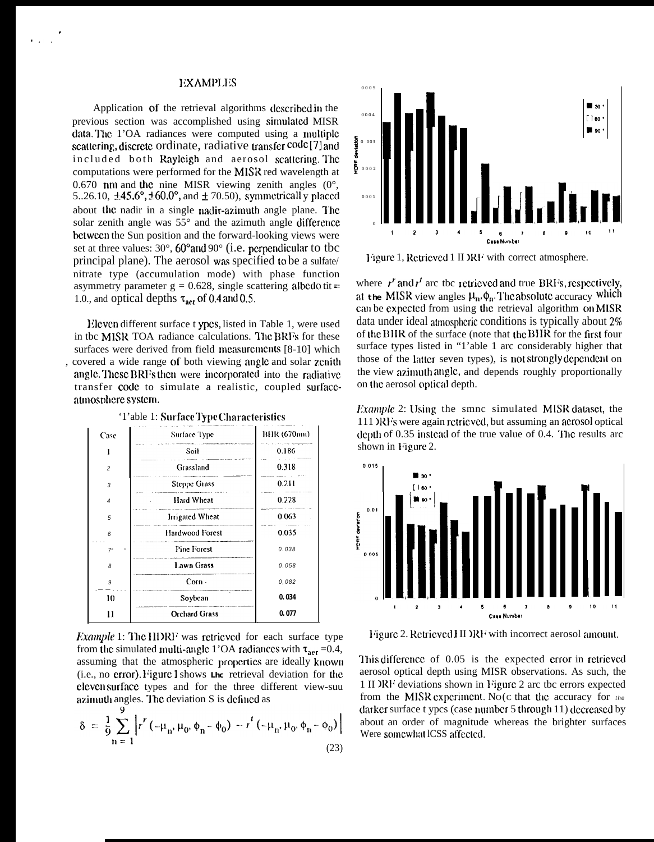# **EXAMPLES**

Application of the retrieval algorithms described in the previous section was accomplished using simulated MISR data. The 1'OA radiances were computed using a multiple scattering, discrete ordinate, radiative transfer code [7] and included both Rayleigh and aerosol scattering. The computations were performed for the MISR red wavelength at 0.670 nm and the nine MISR viewing zenith angles  $(0^{\circ})$ , 5..26.10,  $\pm$ 45.6°,  $\pm$ 60.0°, and  $\pm$  70.50), symmetricall y placed about the nadir in a single nadir-azimuth angle plane. The solar zenith angle was 55° and the azimuth angle difference between the Sun position and the forward-looking views were set at three values:  $30^{\circ}$ ,  $60^{\circ}$  and  $90^{\circ}$  (i.e. perpendicular to tbc principal plane). The aerosol was specified to be a sulfate/ nitrate type (accumulation mode) with phase function asymmetry parameter  $g = 0.628$ , single scattering albedo tit = 1.0., and optical depths  $\tau_{\text{aer}}$  of 0.4 and 0.5.

Eleven different surface t ypes, listed in Table 1, were used in the MISR TOA radiance calculations. The BRFs for these surfaces were derived from field measurements [8-10] which , covered a wide range of both viewing angle and solar zenith angle. These BRFs then were incorporated into the radiative transfer code to simulate a realistic, coupled surfaceatmosphere system.

| Case                           | Surface Type                                                  | BHR (670nm) |
|--------------------------------|---------------------------------------------------------------|-------------|
|                                | man and the control of the components of the Children<br>Soil | 0.186       |
| $\overline{a}$                 | Grassland                                                     | 0.318       |
| 3                              | <b>Steppe Grass</b>                                           | 0.211       |
| $\overline{\bf{4}}$            | Hard Wheat                                                    | 0.228       |
| 5                              | <b>Irrigated Wheat</b>                                        | 0.063       |
| 6                              | Hardwood Forest                                               | 0.035       |
| 7 <sup>u</sup><br>$\mathbf{u}$ | <b>Pine Forest</b>                                            | 0.038       |
| 8                              | Lawn Grass                                                    | 0.058       |
| 9                              | $Corn -$                                                      | 0,082       |
| 10                             | Soybean                                                       | 0.034       |
| 11                             | <b>Orchard Grass</b>                                          | 0.077       |

'1'able 1: SurfaceType Characteristics

*Example* 1: The HDRF was retrieved for each surface type from the simulated multi-angle 1'OA radiances with  $\tau_{\text{aer}}$  =0.4, assuming that the atmospheric properties are ideally known (i.e., no crror). Figure I shows the retrieval deviation for the cleven surface types and for the three different view-suu azimuth angles. The deviation S is defined as

$$
\delta = \frac{1}{9} \sum_{n=1}^{9} \left| r^{r} \left( -\mu_{n}, \mu_{0}, \phi_{n} - \phi_{0} \right) - r^{t} \left( -\mu_{n}, \mu_{0}, \phi_{n} - \phi_{0} \right) \right|
$$
\n(23)



Figure 1, Retrieved 1 II )RF with correct atmosphere.

where  $r^r$  and  $r^r$  are the retrieved and true BRI's, respectively, at the MISR view angles  $\mu_n$ ,  $\phi_n$ . The absolute accuracy which can be expected from using the retrieval algorithm on MISR data under ideal atmospheric conditions is typically about 2% of the BHR of the surface (note that the BHR for the first four surface types listed in "1'able 1 arc considerably higher that those of the latter seven types), is not strongly dependent on the view azimuth angle, and depends roughly proportionally on the aerosol optical depth.

*Example* 2: Using the smnc simulated MISR dataset, the 111 )RF's were again retrieved, but assuming an acrosol optical depth of 0.35 instead of the true value of 0.4. The results arc shown in Figure 2.



Figure 2. Retrieved HDRF with incorrect aerosol amount.

This difference of 0.05 is the expected error in retrieved aerosol optical depth using MISR observations. As such, the 1 II DRF deviations shown in Figure 2 are the errors expected from the MISR experiment. No(c that the accuracy for the darker surface t ypcs (case number 5 through 11) decreased by about an order of magnitude whereas the brighter surfaces Were somewhat ICSS affected.